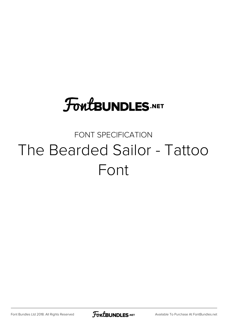# **FoutBUNDLES.NET**

## FONT SPECIFICATION The Bearded Sailor - Tattoo Font

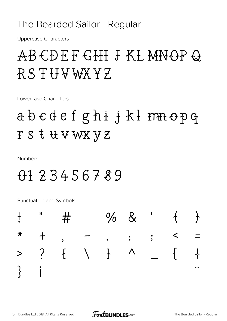### The Bearded Sailor - Regular

**Uppercase Characters** 

# ABCDEFGHI J KL MNOPQ RSTHVWXYZ

Lowercase Characters

# abcdefghijklmnopq rstuvwxyz

**Numbers** 

## 0123456789

Punctuation and Symbols

|  | $+$ " # \$ % & ' $+$ }                         |  |  |  |
|--|------------------------------------------------|--|--|--|
|  | $*$ + , - ; < =                                |  |  |  |
|  | > ? $f \quad   \quad$ } ^ _ { +                |  |  |  |
|  | $3$ i $\phi$ £ $\alpha$ \ $4$ i $\S$ $\degree$ |  |  |  |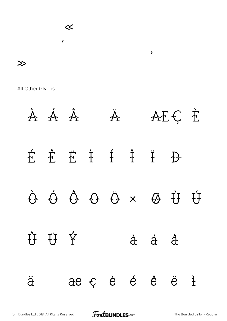

All Other Glyphs

À Á Â Ä Æ Ç È É Ê Ë Ì Í Î Ï Ð Ò Ó Ô Õ Ö × Ø Ù Ú Û Ü Ý à á â ã ä æ ç è é ê ë ì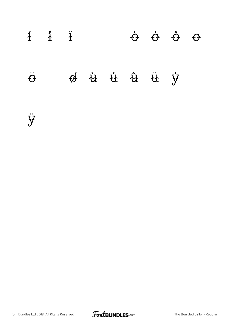# $i$   $i$   $\ddot{o}$   $\ddot{o}$   $\ddot{o}$   $\ddot{o}$   $\ddot{o}$   $\ddot{o}$  $\ddot{\vartheta}$   $\div$   $\dot{\vartheta}$   $\dot{u}$   $\dot{u}$   $\dot{u}$   $\ddot{u}$   $\dot{y}$   $p$

ÿ

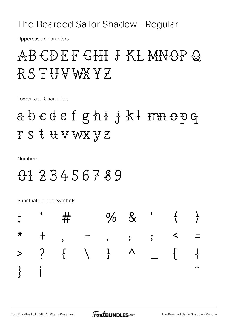#### The Bearded Sailor Shadow - Regular

**Uppercase Characters** 

# ABCDEF GHI J KL MNOP Q RSTUVWXYZ

Lowercase Characters

# abcdefghijklmnopq FS & KVWX YZ

**Numbers** 

### 0123456789

**Punctuation and Symbols** 

|                                                | $\frac{1}{2}$ " # \$ % & ' $\left\{ \begin{array}{ccc} \end{array} \right\}$ |  |  |  |
|------------------------------------------------|------------------------------------------------------------------------------|--|--|--|
|                                                | $*$ + , - ; < =                                                              |  |  |  |
|                                                | > ? $\frac{1}{1}$ $\begin{array}{ccc} 1 & \Lambda & \Lambda \end{array}$     |  |  |  |
| $3$ i $\phi$ £ $\alpha$ \ $4$ i $\S$ $\degree$ |                                                                              |  |  |  |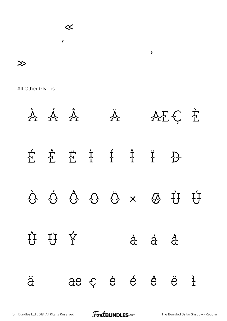

All Other Glyphs



[Font Bundles Ltd 2018. All Rights Reserved](https://fontbundles.net/) **FoutBUNDLES.NET** [The Bearded Sailor Shadow - Regular](https://fontbundles.net/)